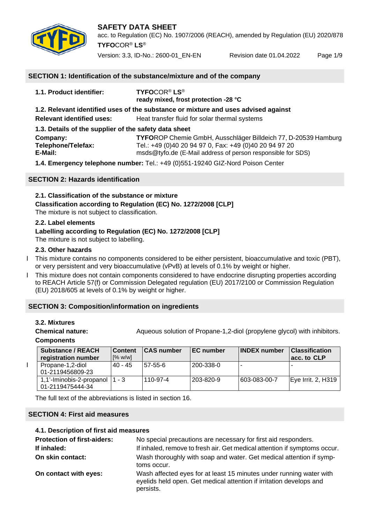

acc. to Regulation (EC) No. 1907/2006 (REACH), amended by Regulation (EU) 2020/878 **TYFO**COR® **LS**®

Version: 3.3, ID-No.: 2600-01\_EN-EN Revision date 01.04.2022 Page 1/9

#### **SECTION 1: Identification of the substance/mixture and of the company**

| 1.1. Product identifier:                              | <b>TYFOCOR<sup>®</sup> LS<sup>®</sup></b><br>ready mixed, frost protection -28 °C                                     |
|-------------------------------------------------------|-----------------------------------------------------------------------------------------------------------------------|
|                                                       | 1.2. Relevant identified uses of the substance or mixture and uses advised against                                    |
| <b>Relevant identified uses:</b>                      | Heat transfer fluid for solar thermal systems                                                                         |
| 1.3. Details of the supplier of the safety data sheet |                                                                                                                       |
| Company:                                              | TYFOROP Chemie GmbH, Ausschläger Billdeich 77, D-20539 Hamburg                                                        |
| Telephone/Telefax:<br>E-Mail:                         | Tel.: +49 (0)40 20 94 97 0, Fax: +49 (0)40 20 94 97 20<br>msds@tyfo.de (E-Mail address of person responsible for SDS) |
|                                                       |                                                                                                                       |

**1.4. Emergency telephone number:** Tel.: +49 (0)551-19240 GIZ-Nord Poison Center

#### **SECTION 2: Hazards identification**

**2.1. Classification of the substance or mixture Classification according to Regulation (EC) No. 1272/2008 [CLP]**

The mixture is not subject to classification.

#### **2.2. Label elements**

#### **Labelling according to Regulation (EC) No. 1272/2008 [CLP]**

The mixture is not subject to labelling.

#### **2.3. Other hazards**

- I This mixture contains no components considered to be either persistent, bioaccumulative and toxic (PBT), or very persistent and very bioaccumulative (vPvB) at levels of 0.1% by weight or higher.
- I This mixture does not contain components considered to have endocrine disrupting properties according to REACH Article 57(f) or Commission Delegated regulation (EU) 2017/2100 or Commission Regulation (EU) 2018/605 at levels of 0.1% by weight or higher.

#### **SECTION 3: Composition/information on ingredients**

#### **3.2. Mixtures**

**Chemical nature:** Aqueous solution of Propane-1,2-diol (propylene glycol) with inhibitors.

#### **Components**

| <b>Substance / REACH</b><br>registration number | <b>Content</b><br>[% w/w] | <b>CAS number</b> | <b>IEC</b> number | <b>INDEX number</b> | <b>Classification</b><br>lacc. to CLP |
|-------------------------------------------------|---------------------------|-------------------|-------------------|---------------------|---------------------------------------|
| Propane-1,2-diol<br>01-2119456809-23            | $40 - 45$                 | 57-55-6           | 200-338-0         |                     |                                       |
| 1,1'-Iminobis-2-propanol<br>01-2119475444-34    | 1 - 3                     | 110-97-4          | 203-820-9         | 603-083-00-7        | Eye Irrit. 2, H319                    |

The full text of the abbreviations is listed in section 16.

#### **SECTION 4: First aid measures**

#### **4.1. Description of first aid measures**

| <b>Protection of first-aiders:</b> | No special precautions are necessary for first aid responders.                                                                                          |  |  |  |
|------------------------------------|---------------------------------------------------------------------------------------------------------------------------------------------------------|--|--|--|
| If inhaled:                        | If inhaled, remove to fresh air. Get medical attention if symptoms occur.                                                                               |  |  |  |
| On skin contact:                   | Wash thoroughly with soap and water. Get medical attention if symp-<br>toms occur.                                                                      |  |  |  |
| On contact with eyes:              | Wash affected eyes for at least 15 minutes under running water with<br>eyelids held open. Get medical attention if irritation develops and<br>persists. |  |  |  |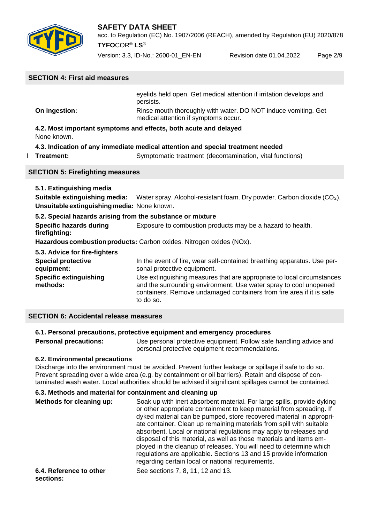

acc. to Regulation (EC) No. 1907/2006 (REACH), amended by Regulation (EU) 2020/878 **TYFO**COR® **LS**®

Version: 3.3, ID-No.: 2600-01\_EN-EN Revision date 01.04.2022 Page 2/9

# **SECTION 4: First aid measures**

|               | eyelids held open. Get medical attention if irritation develops and<br>persists.                       |
|---------------|--------------------------------------------------------------------------------------------------------|
| On ingestion: | Rinse mouth thoroughly with water. DO NOT induce vomiting. Get<br>medical attention if symptoms occur. |
| None known.   | 4.2. Most important symptoms and effects, both acute and delayed                                       |

#### **4.3. Indication of any immediate medical attention and special treatment needed**

- 
- **Treatment:** Symptomatic treatment (decontamination, vital functions)

#### **SECTION 5: Firefighting measures**

#### **5.1. Extinguishing media**

**Suitable extinguishing media:** Water spray. Alcohol-resistant foam. Dry powder. Carbon dioxide (CO2). **Unsuitableextinguishingmedia:** None known.

#### **5.2. Special hazards arising from the substance or mixture**

**Specific hazards during** Exposure to combustion products may be a hazard to health. **firefighting:**

**Hazardouscombustionproducts:** Carbon oxides. Nitrogen oxides (NOx).

**5.3. Advice for fire-fighters** 

| <b>Special protective</b>                 | In the event of fire, wear self-contained breathing apparatus. Use per-                                                                                                                                                          |
|-------------------------------------------|----------------------------------------------------------------------------------------------------------------------------------------------------------------------------------------------------------------------------------|
| equipment:                                | sonal protective equipment.                                                                                                                                                                                                      |
| <b>Specific extinguishing</b><br>methods: | Use extinguishing measures that are appropriate to local circumstances<br>and the surrounding environment. Use water spray to cool unopened<br>containers. Remove undamaged containers from fire area if it is safe<br>to do so. |

#### **SECTION 6: Accidental release measures**

#### **6.1. Personal precautions, protective equipment and emergency procedures**

**Personal precautions:** Use personal protective equipment. Follow safe handling advice and personal protective equipment recommendations.

#### **6.2. Environmental precautions**

Discharge into the environment must be avoided. Prevent further leakage or spillage if safe to do so. Prevent spreading over a wide area (e.g. by containment or oil barriers). Retain and dispose of contaminated wash water. Local authorities should be advised if significant spillages cannot be contained.

# **6.3. Methods and material for containment and cleaning up**

| Methods for cleaning up: | Soak up with inert absorbent material. For large spills, provide dyking<br>or other appropriate containment to keep material from spreading. If<br>dyked material can be pumped, store recovered material in appropri-<br>ate container. Clean up remaining materials from spill with suitable<br>absorbent. Local or national regulations may apply to releases and<br>disposal of this material, as well as those materials and items em-<br>ployed in the cleanup of releases. You will need to determine which<br>regulations are applicable. Sections 13 and 15 provide information<br>regarding certain local or national requirements. |
|--------------------------|-----------------------------------------------------------------------------------------------------------------------------------------------------------------------------------------------------------------------------------------------------------------------------------------------------------------------------------------------------------------------------------------------------------------------------------------------------------------------------------------------------------------------------------------------------------------------------------------------------------------------------------------------|
| 6.4. Reference to other  | See sections 7, 8, 11, 12 and 13.                                                                                                                                                                                                                                                                                                                                                                                                                                                                                                                                                                                                             |

# **sections:**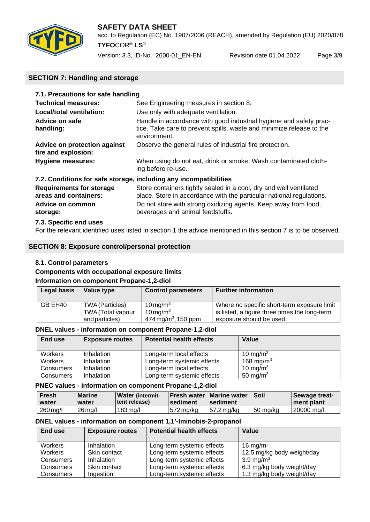

acc. to Regulation (EC) No. 1907/2006 (REACH), amended by Regulation (EU) 2020/878 **TYFO**COR® **LS**®

Version: 3.3, ID-No.: 2600-01\_EN-EN Revision date 01.04.2022 Page 3/9

# **SECTION 7: Handling and storage**

| 7.1. Precautions for safe handling                       |                                                                                                                                                            |
|----------------------------------------------------------|------------------------------------------------------------------------------------------------------------------------------------------------------------|
| <b>Technical measures:</b>                               | See Engineering measures in section 8.                                                                                                                     |
| Local/total ventilation:                                 | Use only with adequate ventilation.                                                                                                                        |
| Advice on safe<br>handling:                              | Handle in accordance with good industrial hygiene and safety prac-<br>tice. Take care to prevent spills, waste and minimize release to the<br>environment. |
| Advice on protection against<br>fire and explosion:      | Observe the general rules of industrial fire protection.                                                                                                   |
| <b>Hygiene measures:</b>                                 | When using do not eat, drink or smoke. Wash contaminated cloth-<br>ing before re-use.                                                                      |
|                                                          | 7.2. Conditions for safe storage, including any incompatibilities                                                                                          |
| <b>Requirements for storage</b><br>areas and containers: | Store containers tightly sealed in a cool, dry and well ventilated<br>place. Store in accordance with the particular national regulations.                 |
| Advice on common<br>storage:                             | Do not store with strong oxidizing agents. Keep away from food,<br>beverages and animal feedstuffs.                                                        |
|                                                          |                                                                                                                                                            |

#### **7.3. Specific end uses**

For the relevant identified uses listed in section 1 the advice mentioned in this section 7 is to be observed.

#### **SECTION 8: Exposure control/personal protection**

#### **8.1. Control parameters**

# **Components with occupational exposure limits**

#### **Information on component Propane-1,2-diol**

| Legal basis | Value type        | <b>Control parameters</b>       | <b>Further information</b>                    |
|-------------|-------------------|---------------------------------|-----------------------------------------------|
| GB EH40     | TWA (Particles)   | $10 \,\mathrm{mg/m^3}$          | Where no specific short-term exposure limit   |
|             | TWA (Total vapour | $10 \,\mathrm{mg/m^3}$          | is listed, a figure three times the long-term |
|             | and particles)    | 474 mg/m <sup>3</sup> , 150 ppm | exposure should be used.                      |

#### **DNEL values - information on component Propane-1,2-diol**

| End use   | <b>Exposure routes</b> | <b>Potential health effects</b> | Value                 |
|-----------|------------------------|---------------------------------|-----------------------|
| Workers   | Inhalation             | Long-term local effects         | 10 mg/m $3$           |
| Workers   | Inhalation             | Long-term systemic effects      | 168 mg/m <sup>3</sup> |
| Consumers | Inhalation             | Long-term local effects         | 10 mg/m $3$           |
| Consumers | Inhalation             | Long-term systemic effects      | 50 mg/m <sup>3</sup>  |

#### **PNEC values - information on component Propane-1,2-diol**

| Fresh    | <b>Marine</b> | <b>Water (intermit-</b> | ⊺Fresh water | <b>Marine water</b> | <b>Soil</b> | <b>Sewage treat-</b> |
|----------|---------------|-------------------------|--------------|---------------------|-------------|----------------------|
| water    | water         | <b>Itent release</b> )  | l sediment   | sediment            |             | ment plant           |
| 260 mg/l | $26$ ma/l     | $183$ ma/l              | $572$ mg/kg  | 57.2 ma/ka          | 50 ma/ka    | 20000 ma/l           |

#### **DNEL values - information on component 1,1'-Iminobis-2-propanol**

| End use<br><b>Exposure routes</b> |              | <b>Potential health effects</b> | Value                      |  |
|-----------------------------------|--------------|---------------------------------|----------------------------|--|
| <b>Workers</b>                    | Inhalation   | Long-term systemic effects      | 16 mg/m $3$                |  |
| <b>Workers</b>                    | Skin contact | Long-term systemic effects      | 12.5 mg/kg body weight/day |  |
| Consumers                         | Inhalation   | Long-term systemic effects      | 3.9 mg/m <sup>3</sup>      |  |
| Consumers                         | Skin contact | Long-term systemic effects      | 6.3 mg/kg body weight/day  |  |
| Consumers                         | Ingestion    | Long-term systemic effects      | 1.3 mg/kg body weight/day  |  |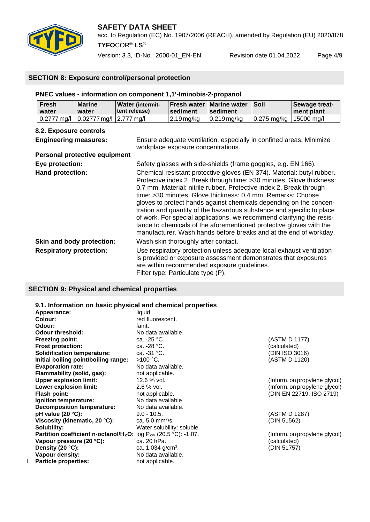

### **SAFETY DATA SHEET** acc. to Regulation (EC) No. 1907/2006 (REACH), amended by Regulation (EU) 2020/878

**TYFO**COR® **LS**®

Version: 3.3, ID-No.: 2600-01\_EN-EN Revision date 01.04.2022 Page 4/9

#### **SECTION 8: Exposure control/personal protection**

#### **PNEC values - information on component 1,1'-Iminobis-2-propanol**

| <b>Fresh</b><br>water | <b>Marine</b><br>water                                                                                                          | <b>Water (intermit-</b><br>l tent release) | ⊺sediment    | <b>Fresh water   Marine water  </b><br>⊺sediment | <b>Soil</b>              | Sewage treat-<br>I ment plant |
|-----------------------|---------------------------------------------------------------------------------------------------------------------------------|--------------------------------------------|--------------|--------------------------------------------------|--------------------------|-------------------------------|
|                       | $\vert 0.2777 \,\mathrm{mg}/\mathrm{I} \,\vert 0.02777 \,\mathrm{mg}/\mathrm{I} \,\vert 2.777 \,\mathrm{mg}/\mathrm{I} \,\vert$ |                                            | ' 2.19 ma/ka | 10.219 ma/ka                                     | 10.275 ma/ka 115000 ma/l |                               |

#### **8.2. Exposure controls**

| <b>Engineering measures:</b>         | Ensure adequate ventilation, especially in confined areas. Minimize<br>workplace exposure concentrations.                                                                                                                                                                                                                                                                                                                                                                                                                                                                                                                                                 |
|--------------------------------------|-----------------------------------------------------------------------------------------------------------------------------------------------------------------------------------------------------------------------------------------------------------------------------------------------------------------------------------------------------------------------------------------------------------------------------------------------------------------------------------------------------------------------------------------------------------------------------------------------------------------------------------------------------------|
| <b>Personal protective equipment</b> |                                                                                                                                                                                                                                                                                                                                                                                                                                                                                                                                                                                                                                                           |
| Eye protection:                      | Safety glasses with side-shields (frame goggles, e.g. EN 166).                                                                                                                                                                                                                                                                                                                                                                                                                                                                                                                                                                                            |
| Hand protection:                     | Chemical resistant protective gloves (EN 374). Material: butyl rubber.<br>Protective index 2. Break through time: >30 minutes. Glove thickness:<br>0.7 mm. Material: nitrile rubber. Protective index 2. Break through<br>time: >30 minutes. Glove thickness: 0.4 mm. Remarks: Choose<br>gloves to protect hands against chemicals depending on the concen-<br>tration and quantity of the hazardous substance and specific to place<br>of work. For special applications, we recommend clarifying the resis-<br>tance to chemicals of the aforementioned protective gloves with the<br>manufacturer. Wash hands before breaks and at the end of workday. |
| Skin and body protection:            | Wash skin thoroughly after contact.                                                                                                                                                                                                                                                                                                                                                                                                                                                                                                                                                                                                                       |
| <b>Respiratory protection:</b>       | Use respiratory protection unless adequate local exhaust ventilation<br>is provided or exposure assessment demonstrates that exposures<br>are within recommended exposure guidelines.<br>Filter type: Particulate type (P).                                                                                                                                                                                                                                                                                                                                                                                                                               |

#### **SECTION 9: Physical and chemical properties**

# **9.1. Information on basic physical and chemical properties**

Appearance:<br>Colour: **Odour:** faint.<br> **Odour threshold:** No data available. **Odour threshold: Freezing point:** ca. -25 °C. (ASTM D 1177)<br> **Frost protection:** ca. -28 °C. (calculated) calculated) **Frost protection:** ca. -28 °C.<br> **Solidification temperature:** ca. -31 °C. **Solidification temperature:** ca. -31 °C.<br> **Initial boiling point/boiling range:** >100 °C. Cassetting the control of the control of the control of the control of the control of the control of the control of the control of **Initial boiling point/boiling range:**  $>100 °C$ . (ASTM D 1120) **Evaporation rate:** No data available. **Flammability (solid, gas):** not applicable.<br> **Upper explosion limit:** 12.6 % vol. **Upper explosion limit:** 12.6 % vol.<br> **Lower explosion limit:** 2.6 % vol. 
2.6 % vol. 
(Inform. on propylene glycol) **Lower explosion limit:** 2.6 % vol. <br> **Elash point:** 2.0 % vol. (Inform. on propylene glycol) and applicable. (Inform. 22719, ISO 2719) **Ignition temperature:** No data available.<br>**Decomposition temperature:** No data available. **Decomposition temperature: pH value (20 °C):** 9.0 - 10.5. (ASTM D 1287)<br> **Viscosity (kinematic, 20 °C):** ca. 5.0 mm<sup>2</sup>/s. (DIN 51562) (DIN 51562) **Viscosity (kinematic, 20 °C): Solubility:** Water solubility: soluble. **Partition coefficient n-octanol/H<sub>2</sub>O:** log P<sub>ow</sub> (20.5 °C): -1.07. (Inform. on propylene glycol)<br> **Vapour pressure (20 °C):** ca. 20 hPa. (calculated) (calculated) **Vapour pressure (20 °C):** ca. 20 hPa.<br>**Density (20 °C):** ca. 1.034 g/cm<sup>3</sup>. **Density (20 °C):**<br>Vapour density: I **Particle properties:** not applicable.

red fluorescent. **Flash point:**  $\overline{P}$  **Flash point:** (DIN EN 22719, ISO 2719)<br>No data available. No data available.

(DIN 51562)

. (DIN 51757)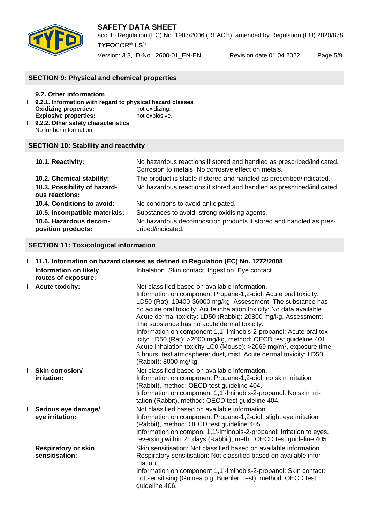

acc. to Regulation (EC) No. 1907/2006 (REACH), amended by Regulation (EU) 2020/878 **TYFO**COR® **LS**®

Version: 3.3, ID-No.: 2600-01\_EN-EN Revision date 01.04.2022 Page 5/9

# **SECTION 9: Physical and chemical properties**

| 9.2. Other informatiom              | 9.2.1. Information with regard to physical hazard classes |
|-------------------------------------|-----------------------------------------------------------|
| <b>Oxidizing properties:</b>        | not oxidizing.                                            |
| <b>Explosive properties:</b>        | not explosive.                                            |
| 9.2.2. Other safety characteristics |                                                           |

No further information.

#### **SECTION 10: Stability and reactivity**

| 10.1. Reactivity:                              | No hazardous reactions if stored and handled as prescribed/indicated.<br>Corrosion to metals: No corrosive effect on metals. |
|------------------------------------------------|------------------------------------------------------------------------------------------------------------------------------|
| 10.2. Chemical stability:                      | The product is stable if stored and handled as prescribed/indicated.                                                         |
| 10.3. Possibility of hazard-<br>ous reactions: | No hazardous reactions if stored and handled as prescribed/indicated.                                                        |
| 10.4. Conditions to avoid:                     | No conditions to avoid anticipated.                                                                                          |
| 10.5. Incompatible materials:                  | Substances to avoid: strong oxidising agents.                                                                                |
| 10.6. Hazardous decom-<br>position products:   | No hazardous decomposition products if stored and handled as pres-<br>cribed/indicated.                                      |

#### **SECTION 11: Toxicological information**

|              | 1 11.1. Information on hazard classes as defined in Regulation (EC) No. 1272/2008 |                                                                                                                                                                                                                                                                                                                                                                                                                                                                                                                                                                                                                                                                                                        |
|--------------|-----------------------------------------------------------------------------------|--------------------------------------------------------------------------------------------------------------------------------------------------------------------------------------------------------------------------------------------------------------------------------------------------------------------------------------------------------------------------------------------------------------------------------------------------------------------------------------------------------------------------------------------------------------------------------------------------------------------------------------------------------------------------------------------------------|
|              | <b>Information on likely</b><br>routes of exposure:                               | Inhalation. Skin contact. Ingestion. Eye contact.                                                                                                                                                                                                                                                                                                                                                                                                                                                                                                                                                                                                                                                      |
| $\mathbf{I}$ | <b>Acute toxicity:</b>                                                            | Not classified based on available information.<br>Information on component Propane-1,2-diol: Acute oral toxicity:<br>LD50 (Rat): 19400-36000 mg/kg. Assessment: The substance has<br>no acute oral toxicity. Acute inhalation toxicity: No data available.<br>Acute dermal toxicity: LD50 (Rabbit): 20800 mg/kg. Assessment:<br>The substance has no acute dermal toxicity.<br>Information on component 1,1'-Iminobis-2-propanol: Acute oral tox-<br>icity: LD50 (Rat): >2000 mg/kg, method: OECD test guideline 401.<br>Acute inhalation toxicity LC0 (Mouse): >2069 mg/m <sup>3</sup> , exposure time:<br>3 hours, test atmosphere: dust, mist. Acute dermal toxicity: LD50<br>(Rabbit): 8000 mg/kg. |
| L            | <b>Skin corrosion/</b><br>irritation:                                             | Not classified based on available information.<br>Information on component Propane-1,2-diol: no skin irritation<br>(Rabbit), method: OECD test guideline 404.<br>Information on component 1,1'-Iminobis-2-propanol: No skin irri-<br>tation (Rabbit), method: OECD test guideline 404.                                                                                                                                                                                                                                                                                                                                                                                                                 |
| L            | Serious eye damage/<br>eye irritation:                                            | Not classified based on available information.<br>Information on component Propane-1,2-diol: slight eye irritation<br>(Rabbit), method: OECD test guideline 405.<br>Information on compon. 1,1'-Iminobis-2-propanol: Irritation to eyes,<br>reversing within 21 days (Rabbit), meth.: OECD test guideline 405.                                                                                                                                                                                                                                                                                                                                                                                         |
|              | <b>Respiratory or skin</b><br>sensitisation:                                      | Skin sensitisation: Not classified based on available information.<br>Respiratory sensitisation: Not classified based on available infor-<br>mation.<br>Information on component 1,1'-Iminobis-2-propanol: Skin contact:<br>not sensitising (Guinea pig, Buehler Test), method: OECD test<br>guideline 406.                                                                                                                                                                                                                                                                                                                                                                                            |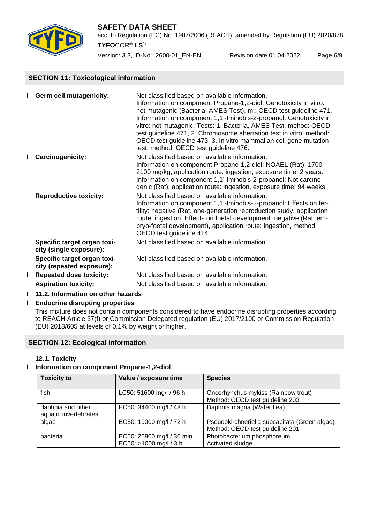

acc. to Regulation (EC) No. 1907/2006 (REACH), amended by Regulation (EU) 2020/878 **TYFO**COR® **LS**®

Version: 3.3, ID-No.: 2600-01\_EN-EN Revision date 01.04.2022 Page 6/9

## **SECTION 11: Toxicological information**

|   | <b>Germ cell mutagenicity:</b>                           | Not classified based on available information.<br>Information on component Propane-1,2-diol: Genotoxicity in vitro:<br>not mutagenic (Bacteria, AMES Test), m.: OECD test guideline 471.<br>Information on component 1,1'-Iminobis-2-propanol: Genotoxicity in                                                                                                      |
|---|----------------------------------------------------------|---------------------------------------------------------------------------------------------------------------------------------------------------------------------------------------------------------------------------------------------------------------------------------------------------------------------------------------------------------------------|
|   |                                                          | vitro: not mutagenic: Tests: 1. Bacteria, AMES Test, mehod: OECD<br>test guideline 471, 2. Chromosome aberration test in vitro, method:<br>OECD test guideline 473, 3. In vitro mammalian cell gene mutation<br>test, method: OECD test guideline 476.                                                                                                              |
|   | <b>Carcinogenicity:</b>                                  | Not classified based on available information.<br>Information on component Propane-1,2-diol: NOAEL (Rat): 1700-<br>2100 mg/kg, application route: ingestion, exposure time: 2 years.<br>Information on component 1,1'-Iminobis-2-propanol: Not carcino-<br>genic (Rat), application route: ingestion, exposure time: 94 weeks.                                      |
|   | <b>Reproductive toxicity:</b>                            | Not classified based on available information.<br>Information on component 1,1'-Iminobis-2-propanol: Effects on fer-<br>tility: negative (Rat, one-generation reproduction study, application<br>route: ingestion. Effects on foetal development: negative (Rat, em-<br>bryo-foetal development), application route: ingestion, method:<br>OECD test guideline 414. |
|   | Specific target organ toxi-<br>city (single exposure):   | Not classified based on available information.                                                                                                                                                                                                                                                                                                                      |
|   | Specific target organ toxi-<br>city (repeated exposure): | Not classified based on available information.                                                                                                                                                                                                                                                                                                                      |
| L | <b>Repeated dose toxicity:</b>                           | Not classified based on available information.                                                                                                                                                                                                                                                                                                                      |
|   | <b>Aspiration toxicity:</b>                              | Not classified based on available information.                                                                                                                                                                                                                                                                                                                      |

I **11.2. Information on other hazards**

#### Ӏ **Endocrine disrupting properties**

This mixture does not contain components considered to have endocrine disrupting properties according to REACH Article 57(f) or Commission Delegated regulation (EU) 2017/2100 or Commission Regulation (EU) 2018/605 at levels of 0.1% by weight or higher.

#### **SECTION 12: Ecological information**

#### **12.1. Toxicity**

# Ӏ **Information on component Propane-1,2-diol**

| <b>Toxicity to</b>                         | Value / exposure time                               | <b>Species</b>                                                                   |
|--------------------------------------------|-----------------------------------------------------|----------------------------------------------------------------------------------|
| fish                                       | LC50: 51600 mg/l / 96 h                             | Oncorhynchus mykiss (Rainbow trout)<br>Method: OECD test guideline 203           |
| daphnia and other<br>aquatic invertebrates | EC50: 34400 mg/l / 48 h                             | Daphnia magna (Water flea)                                                       |
| algae                                      | EC50: 19000 mg/l / 72 h                             | Pseudokirchneriella subcapitata (Green algae)<br>Method: OECD test guideline 201 |
| bacteria                                   | EC50: 26800 mg/l / 30 min<br>EC50: >1000 mg/l / 3 h | Photobacterium phosphoreum<br>Activated sludge                                   |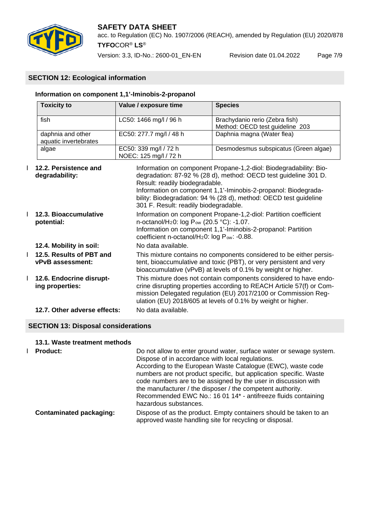

acc. to Regulation (EC) No. 1907/2006 (REACH), amended by Regulation (EU) 2020/878 **TYFO**COR® **LS**®

Version: 3.3, ID-No.: 2600-01\_EN-EN Revision date 01.04.2022 Page 7/9

# **SECTION 12: Ecological information**

#### **Information on component 1,1'-Iminobis-2-propanol**

|                                                                                                                                                                                                                                                                                                                                                                                                  | <b>Toxicity to</b>                           | Value / exposure time                          | <b>Species</b>                                                                                                                                                                                                                                                              |  |
|--------------------------------------------------------------------------------------------------------------------------------------------------------------------------------------------------------------------------------------------------------------------------------------------------------------------------------------------------------------------------------------------------|----------------------------------------------|------------------------------------------------|-----------------------------------------------------------------------------------------------------------------------------------------------------------------------------------------------------------------------------------------------------------------------------|--|
|                                                                                                                                                                                                                                                                                                                                                                                                  | fish                                         | LC50: 1466 mg/l / 96 h                         | Brachydanio rerio (Zebra fish)<br>Method: OECD test guideline 203                                                                                                                                                                                                           |  |
|                                                                                                                                                                                                                                                                                                                                                                                                  | daphnia and other<br>aquatic invertebrates   | EC50: 277.7 mg/l / 48 h                        | Daphnia magna (Water flea)                                                                                                                                                                                                                                                  |  |
|                                                                                                                                                                                                                                                                                                                                                                                                  | algae                                        | EC50: 339 mg/l / 72 h<br>NOEC: 125 mg/l / 72 h | Desmodesmus subspicatus (Green algae)                                                                                                                                                                                                                                       |  |
| 12.2. Persistence and<br>Information on component Propane-1,2-diol: Biodegradability: Bio-<br>degradation: 87-92 % (28 d), method: OECD test guideline 301 D.<br>degradability:<br>Result: readily biodegradable.<br>Information on component 1,1'-Iminobis-2-propanol: Biodegrada-<br>bility: Biodegradation: 94 % (28 d), method: OECD test guideline<br>301 F. Result: readily biodegradable. |                                              |                                                |                                                                                                                                                                                                                                                                             |  |
|                                                                                                                                                                                                                                                                                                                                                                                                  | 12.3. Bioaccumulative<br>potential:          |                                                | Information on component Propane-1,2-diol: Partition coefficient<br>n-octanol/H <sub>2</sub> 0: log P <sub>ow</sub> (20.5 °C): -1.07.<br>Information on component 1,1'-Iminobis-2-propanol: Partition<br>coefficient n-octanol/H <sub>2</sub> 0: log Pow: -0.88.            |  |
|                                                                                                                                                                                                                                                                                                                                                                                                  | 12.4. Mobility in soil:                      | No data available.                             |                                                                                                                                                                                                                                                                             |  |
|                                                                                                                                                                                                                                                                                                                                                                                                  | 12.5. Results of PBT and<br>vPvB assessment: |                                                | This mixture contains no components considered to be either persis-<br>tent, bioaccumulative and toxic (PBT), or very persistent and very<br>bioaccumulative (vPvB) at levels of 0.1% by weight or higher.                                                                  |  |
|                                                                                                                                                                                                                                                                                                                                                                                                  | 12.6. Endocrine disrupt-<br>ing properties:  |                                                | This mixture does not contain components considered to have endo-<br>crine disrupting properties according to REACH Article 57(f) or Com-<br>mission Delegated regulation (EU) 2017/2100 or Commission Reg-<br>ulation (EU) 2018/605 at levels of 0.1% by weight or higher. |  |
|                                                                                                                                                                                                                                                                                                                                                                                                  | 12.7. Other adverse effects:                 | No data available.                             |                                                                                                                                                                                                                                                                             |  |

#### **SECTION 13: Disposal considerations**

#### **13.1. Waste treatment methods**

**I** Product: Do not allow to enter ground water, surface water or sewage system. Dispose of in accordance with local regulations. According to the European Waste Catalogue (EWC), waste code numbers are not product specific, but application specific. Waste code numbers are to be assigned by the user in discussion with the manufacturer / the disposer / the competent authority. Recommended EWC No.: 16 01 14\* - antifreeze fluids containing hazardous substances. **Contaminated packaging:** Dispose of as the product. Empty containers should be taken to an approved waste handling site for recycling or disposal.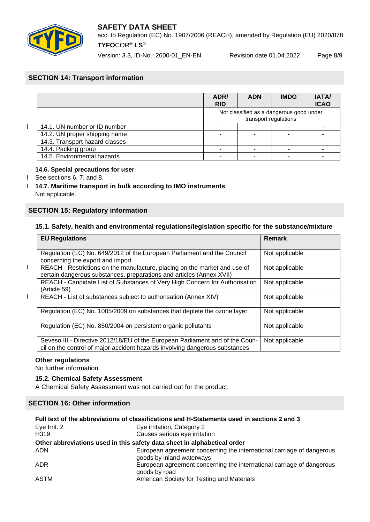

acc. to Regulation (EC) No. 1907/2006 (REACH), amended by Regulation (EU) 2020/878 **TYFO**COR® **LS**®

Version: 3.3, ID-No.: 2600-01\_EN-EN Revision date 01.04.2022 Page 8/9

# **SECTION 14: Transport information**

|                                | ADR/<br><b>RID</b> | <b>ADN</b>            | <b>IMDG</b>                              | <b>IATA/</b><br><b>ICAO</b> |
|--------------------------------|--------------------|-----------------------|------------------------------------------|-----------------------------|
|                                |                    | transport regulations | Not classified as a dangerous good under |                             |
| 14.1. UN number or ID number   |                    |                       |                                          |                             |
| 14.2. UN proper shipping name  |                    |                       |                                          |                             |
| 14.3. Transport hazard classes |                    |                       |                                          |                             |
| 14.4. Packing group            |                    |                       |                                          |                             |
| 14.5. Environmental hazards    |                    |                       |                                          |                             |

#### **14.6. Special precautions for user**

- I See sections 6, 7, and 8.
- Ӏ **14.7. Maritime transport in bulk according to IMO instruments** Not applicable.

#### **SECTION 15: Regulatory information**

#### **15.1. Safety, health and environmental regulations/legislation specific for the substance/mixture**

| <b>EU Regulations</b>                                                                                                                                        | <b>Remark</b>  |
|--------------------------------------------------------------------------------------------------------------------------------------------------------------|----------------|
| Regulation (EC) No. 649/2012 of the European Parliament and the Council<br>concerning the export and import                                                  | Not applicable |
| REACH - Restrictions on the manufacture, placing on the market and use of<br>certain dangerous substances, preparations and articles (Annex XVII)            | Not applicable |
| REACH - Candidate List of Substances of Very High Concern for Authorisation<br>(Article 59)                                                                  | Not applicable |
| REACH - List of substances subject to authorisation (Annex XIV)                                                                                              | Not applicable |
| Regulation (EC) No. 1005/2009 on substances that deplete the ozone layer                                                                                     | Not applicable |
| Regulation (EC) No. 850/2004 on persistent organic pollutants                                                                                                | Not applicable |
| Seveso III - Directive 2012/18/EU of the European Parliament and of the Coun-<br>cil on the control of major-accident hazards involving dangerous substances | Not applicable |

#### **Other regulations**

No further information.

#### **15.2. Chemical Safety Assessment**

A Chemical Safety Assessment was not carried out for the product.

#### **SECTION 16: Other information**

| Full text of the abbreviations of classifications and H-Statements used in sections 2 and 3 |                                                                                                    |  |
|---------------------------------------------------------------------------------------------|----------------------------------------------------------------------------------------------------|--|
| Eye Irrit. 2                                                                                | Eye irritation, Category 2                                                                         |  |
| H319                                                                                        | Causes serious eye irritation                                                                      |  |
|                                                                                             | Other abbreviations used in this safety data sheet in alphabetical order                           |  |
| <b>ADN</b>                                                                                  | European agreement concerning the international carriage of dangerous<br>goods by inland waterways |  |
| ADR.                                                                                        | European agreement concerning the international carriage of dangerous<br>goods by road             |  |
| ASTM                                                                                        | American Society for Testing and Materials                                                         |  |